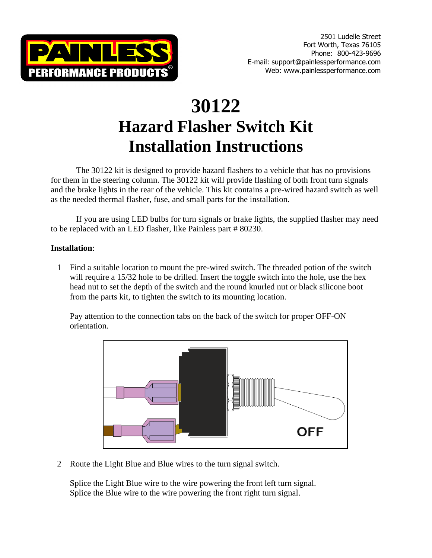

# **30122 Hazard Flasher Switch Kit Installation Instructions**

The 30122 kit is designed to provide hazard flashers to a vehicle that has no provisions for them in the steering column. The 30122 kit will provide flashing of both front turn signals and the brake lights in the rear of the vehicle. This kit contains a pre-wired hazard switch as well as the needed thermal flasher, fuse, and small parts for the installation.

If you are using LED bulbs for turn signals or brake lights, the supplied flasher may need to be replaced with an LED flasher, like Painless part # 80230.

## **Installation**:

1 Find a suitable location to mount the pre-wired switch. The threaded potion of the switch will require a 15/32 hole to be drilled. Insert the toggle switch into the hole, use the hex head nut to set the depth of the switch and the round knurled nut or black silicone boot from the parts kit, to tighten the switch to its mounting location.

Pay attention to the connection tabs on the back of the switch for proper OFF-ON orientation.



2 Route the Light Blue and Blue wires to the turn signal switch.

Splice the Light Blue wire to the wire powering the front left turn signal. Splice the Blue wire to the wire powering the front right turn signal.